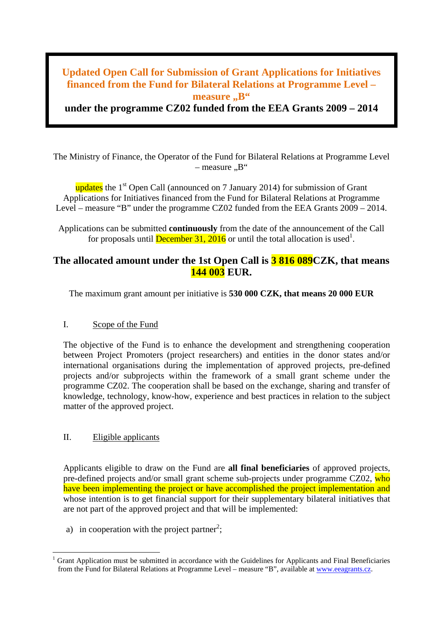# **Updated Open Call for Submission of Grant Applications for Initiatives financed from the Fund for Bilateral Relations at Programme Level – measure** ., B"

**under the programme CZ02 funded from the EEA Grants 2009 – 2014**

The Ministry of Finance, the Operator of the Fund for Bilateral Relations at Programme Level  $-$  measure  $\mathbb{R}^4$ 

updates the  $1<sup>st</sup>$  Open Call (announced on 7 January 2014) for submission of Grant Applications for Initiatives financed from the Fund for Bilateral Relations at Programme Level – measure "B" under the programme CZ02 funded from the EEA Grants 2009 – 2014.

Applications can be submitted **continuously** from the date of the announcement of the Call for proposals until **December 31, 2016** or until the total allocation is used<sup>1</sup>.

# **The allocated amount under the 1st Open Call is 3 816 089CZK, that means 144 003 EUR.**

The maximum grant amount per initiative is **530 000 CZK, that means 20 000 EUR**

## I. Scope of the Fund

The objective of the Fund is to enhance the development and strengthening cooperation between Project Promoters (project researchers) and entities in the donor states and/or international organisations during the implementation of approved projects, pre-defined projects and/or subprojects within the framework of a small grant scheme under the programme CZ02. The cooperation shall be based on the exchange, sharing and transfer of knowledge, technology, know-how, experience and best practices in relation to the subject matter of the approved project.

## II. Eligible applicants

Applicants eligible to draw on the Fund are **all final beneficiaries** of approved projects, pre-defined projects and/or small grant scheme sub-projects under programme CZ02, who have been implementing the project or have accomplished the project implementation and whose intention is to get financial support for their supplementary bilateral initiatives that are not part of the approved project and that will be implemented:

a) in cooperation with the project partner<sup>2</sup>;

<sup>&</sup>lt;sup>1</sup> Grant Application must be submitted in accordance with the Guidelines for Applicants and Final Beneficiaries from the Fund for Bilateral Relations at Programme Level – measure "B", available at [www.eeagrants.cz.](http://www.eeagrants.cz/)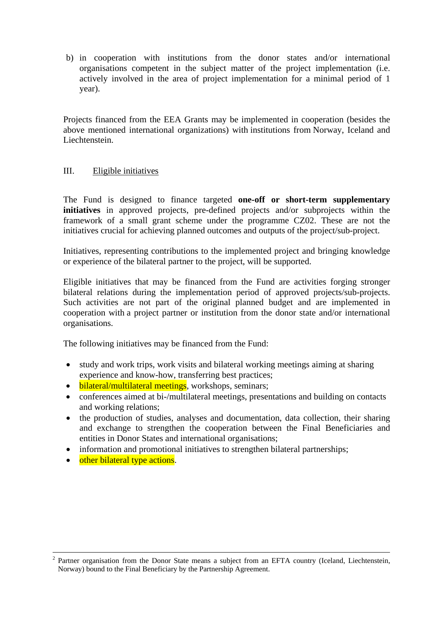b) in cooperation with institutions from the donor states and/or international organisations competent in the subject matter of the project implementation (i.e. actively involved in the area of project implementation for a minimal period of 1 year).

Projects financed from the EEA Grants may be implemented in cooperation (besides the above mentioned international organizations) with institutions from Norway, Iceland and Liechtenstein.

#### III. Eligible initiatives

The Fund is designed to finance targeted **one-off or short-term supplementary initiatives** in approved projects, pre-defined projects and/or subprojects within the framework of a small grant scheme under the programme CZ02. These are not the initiatives crucial for achieving planned outcomes and outputs of the project/sub-project.

Initiatives, representing contributions to the implemented project and bringing knowledge or experience of the bilateral partner to the project, will be supported.

Eligible initiatives that may be financed from the Fund are activities forging stronger bilateral relations during the implementation period of approved projects/sub-projects. Such activities are not part of the original planned budget and are implemented in cooperation with a project partner or institution from the donor state and/or international organisations.

The following initiatives may be financed from the Fund:

- study and work trips, work visits and bilateral working meetings aiming at sharing experience and know-how, transferring best practices;
- bilateral/multilateral meetings, workshops, seminars;
- conferences aimed at bi-/multilateral meetings, presentations and building on contacts and working relations;
- the production of studies, analyses and documentation, data collection, their sharing and exchange to strengthen the cooperation between the Final Beneficiaries and entities in Donor States and international organisations;
- information and promotional initiatives to strengthen bilateral partnerships;
- other bilateral type actions.

<sup>&</sup>lt;sup>2</sup> Partner organisation from the Donor State means a subject from an EFTA country (Iceland, Liechtenstein, Norway) bound to the Final Beneficiary by the Partnership Agreement.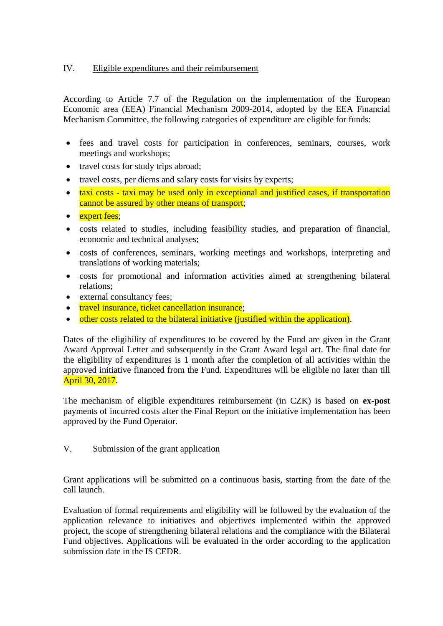## IV. Eligible expenditures and their reimbursement

According to Article 7.7 of the Regulation on the implementation of the European Economic area (EEA) Financial Mechanism 2009-2014, adopted by the EEA Financial Mechanism Committee, the following categories of expenditure are eligible for funds:

- fees and travel costs for participation in conferences, seminars, courses, work meetings and workshops;
- travel costs for study trips abroad;
- travel costs, per diems and salary costs for visits by experts;
- taxi costs taxi may be used only in exceptional and justified cases, if transportation cannot be assured by other means of transport;
- expert fees;
- costs related to studies, including feasibility studies, and preparation of financial, economic and technical analyses;
- costs of conferences, seminars, working meetings and workshops, interpreting and translations of working materials;
- costs for promotional and information activities aimed at strengthening bilateral relations;
- external consultancy fees;
- travel insurance, ticket cancellation insurance;
- other costs related to the bilateral initiative (justified within the application).

Dates of the eligibility of expenditures to be covered by the Fund are given in the Grant Award Approval Letter and subsequently in the Grant Award legal act. The final date for the eligibility of expenditures is 1 month after the completion of all activities within the approved initiative financed from the Fund. Expenditures will be eligible no later than till April 30, 2017.

The mechanism of eligible expenditures reimbursement (in CZK) is based on **ex-post** payments of incurred costs after the Final Report on the initiative implementation has been approved by the Fund Operator.

# V. Submission of the grant application

Grant applications will be submitted on a continuous basis, starting from the date of the call launch.

Evaluation of formal requirements and eligibility will be followed by the evaluation of the application relevance to initiatives and objectives implemented within the approved project, the scope of strengthening bilateral relations and the compliance with the Bilateral Fund objectives. Applications will be evaluated in the order according to the application submission date in the IS CEDR.